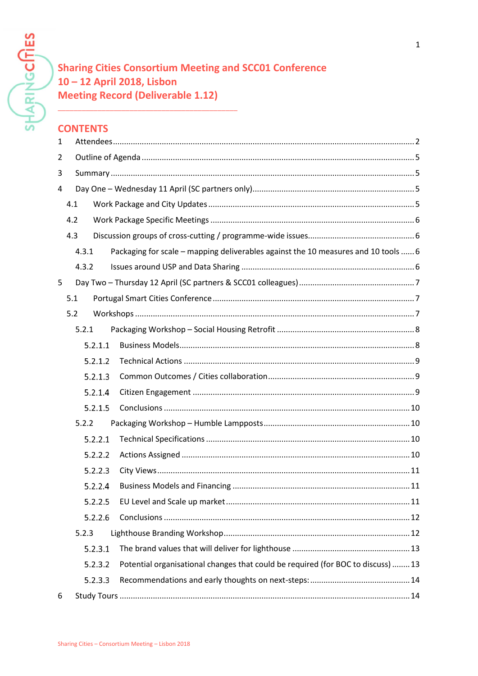**SHARINGCITIES** 

# **Sharing Cities Consortium Meeting and SCC01 Conference** 10-12 April 2018, Lisbon **Meeting Record (Deliverable 1.12)**

# **CONTENTS**

| $\mathbf{1}$   |     |         |                                                                                    |  |
|----------------|-----|---------|------------------------------------------------------------------------------------|--|
| $\overline{2}$ |     |         |                                                                                    |  |
| 3              |     |         |                                                                                    |  |
| 4              |     |         |                                                                                    |  |
|                | 4.1 |         |                                                                                    |  |
|                | 4.2 |         |                                                                                    |  |
|                | 4.3 |         |                                                                                    |  |
|                |     | 4.3.1   | Packaging for scale - mapping deliverables against the 10 measures and 10 tools  6 |  |
|                |     | 4.3.2   |                                                                                    |  |
| 5              |     |         |                                                                                    |  |
|                | 5.1 |         |                                                                                    |  |
|                | 5.2 |         |                                                                                    |  |
|                |     | 5.2.1   |                                                                                    |  |
|                |     | 5.2.1.1 |                                                                                    |  |
|                |     | 5.2.1.2 |                                                                                    |  |
|                |     | 5.2.1.3 |                                                                                    |  |
|                |     | 5.2.1.4 |                                                                                    |  |
|                |     | 5.2.1.5 |                                                                                    |  |
|                |     | 5.2.2   |                                                                                    |  |
|                |     | 5.2.2.1 |                                                                                    |  |
|                |     | 5.2.2.2 |                                                                                    |  |
|                |     | 5.2.2.3 |                                                                                    |  |
|                |     | 5.2.2.4 |                                                                                    |  |
|                |     | 5.2.2.5 |                                                                                    |  |
|                |     | 5.2.2.6 |                                                                                    |  |
|                |     | 5.2.3   |                                                                                    |  |
|                |     | 5.2.3.1 |                                                                                    |  |
|                |     | 5.2.3.2 | Potential organisational changes that could be required (for BOC to discuss)  13   |  |
|                |     | 5.2.3.3 |                                                                                    |  |
| 6              |     |         |                                                                                    |  |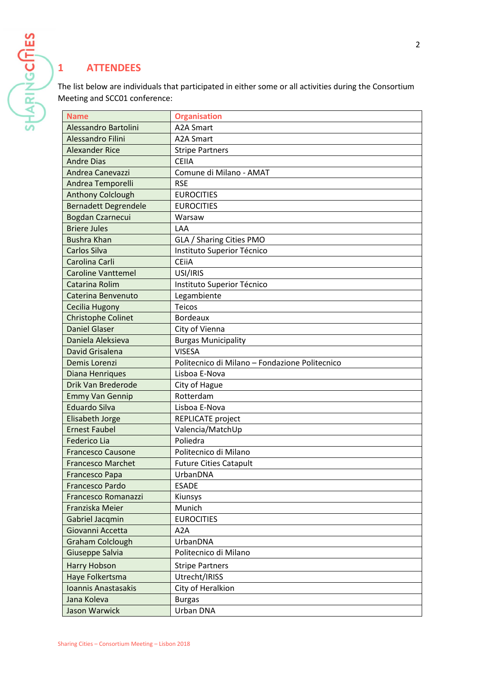# <span id="page-1-0"></span>**1 ATTENDEES**

The list below are individuals that participated in either some or all activities during the Consortium Meeting and SCC01 conference:

| <b>Name</b>                 | <b>Organisation</b>                            |  |  |  |
|-----------------------------|------------------------------------------------|--|--|--|
| Alessandro Bartolini        | <b>A2A Smart</b>                               |  |  |  |
| <b>Alessandro Filini</b>    | <b>A2A Smart</b>                               |  |  |  |
| <b>Alexander Rice</b>       | <b>Stripe Partners</b>                         |  |  |  |
| <b>Andre Dias</b>           | <b>CEIIA</b>                                   |  |  |  |
| Andrea Canevazzi            | Comune di Milano - AMAT                        |  |  |  |
| Andrea Temporelli           | <b>RSE</b>                                     |  |  |  |
| <b>Anthony Colclough</b>    | <b>EUROCITIES</b>                              |  |  |  |
| <b>Bernadett Degrendele</b> | <b>EUROCITIES</b>                              |  |  |  |
| Bogdan Czarnecui            | Warsaw                                         |  |  |  |
| <b>Briere Jules</b>         | LAA                                            |  |  |  |
| <b>Bushra Khan</b>          | GLA / Sharing Cities PMO                       |  |  |  |
| <b>Carlos Silva</b>         | Instituto Superior Técnico                     |  |  |  |
| Carolina Carli              | <b>CEiiA</b>                                   |  |  |  |
| <b>Caroline Vanttemel</b>   | USI/IRIS                                       |  |  |  |
| Catarina Rolim              | Instituto Superior Técnico                     |  |  |  |
| Caterina Benvenuto          | Legambiente                                    |  |  |  |
| <b>Cecilia Hugony</b>       | <b>Teicos</b>                                  |  |  |  |
| <b>Christophe Colinet</b>   | <b>Bordeaux</b>                                |  |  |  |
| <b>Daniel Glaser</b>        | City of Vienna                                 |  |  |  |
| Daniela Aleksieva           | <b>Burgas Municipality</b>                     |  |  |  |
| David Grisalena             | <b>VISESA</b>                                  |  |  |  |
| Demis Lorenzi               | Politecnico di Milano - Fondazione Politecnico |  |  |  |
| Diana Henriques             | Lisboa E-Nova                                  |  |  |  |
| Drik Van Brederode          | City of Hague                                  |  |  |  |
| <b>Emmy Van Gennip</b>      | Rotterdam                                      |  |  |  |
| <b>Eduardo Silva</b>        | Lisboa E-Nova                                  |  |  |  |
| Elisabeth Jorge             | REPLICATE project                              |  |  |  |
| <b>Ernest Faubel</b>        | Valencia/MatchUp                               |  |  |  |
| <b>Federico Lia</b>         | Poliedra                                       |  |  |  |
| <b>Francesco Causone</b>    | Politecnico di Milano                          |  |  |  |
| <b>Francesco Marchet</b>    | <b>Future Cities Catapult</b>                  |  |  |  |
| <b>Francesco Papa</b>       | UrbanDNA                                       |  |  |  |
| <b>Francesco Pardo</b>      | <b>ESADE</b>                                   |  |  |  |
| Francesco Romanazzi         | Kiunsys                                        |  |  |  |
| Franziska Meier             | Munich                                         |  |  |  |
| Gabriel Jacqmin             | <b>EUROCITIES</b>                              |  |  |  |
| Giovanni Accetta            | A2A                                            |  |  |  |
| <b>Graham Colclough</b>     | UrbanDNA                                       |  |  |  |
| Giuseppe Salvia             | Politecnico di Milano                          |  |  |  |
| <b>Harry Hobson</b>         | <b>Stripe Partners</b>                         |  |  |  |
| Haye Folkertsma             | Utrecht/IRISS                                  |  |  |  |
| Ioannis Anastasakis         | City of Heralkion                              |  |  |  |
| Jana Koleva                 | <b>Burgas</b>                                  |  |  |  |
| Jason Warwick               | Urban DNA                                      |  |  |  |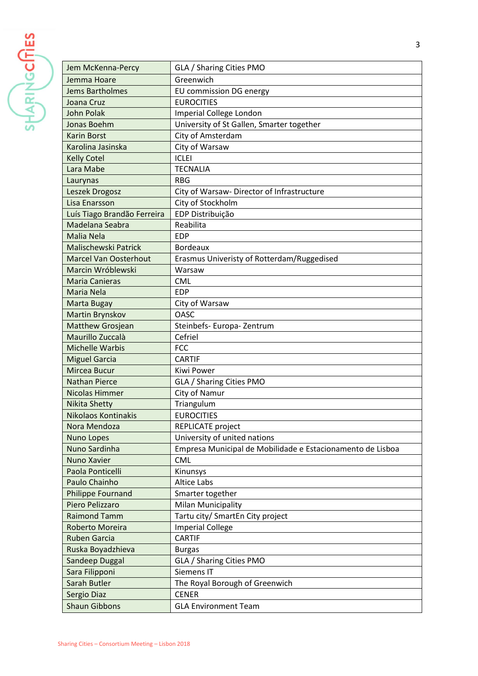SHARINGCITIES

| Jem McKenna-Percy            | GLA / Sharing Cities PMO                                   |  |  |  |
|------------------------------|------------------------------------------------------------|--|--|--|
| Jemma Hoare                  | Greenwich                                                  |  |  |  |
| <b>Jems Bartholmes</b>       | EU commission DG energy                                    |  |  |  |
| Joana Cruz                   | <b>EUROCITIES</b>                                          |  |  |  |
| <b>John Polak</b>            | Imperial College London                                    |  |  |  |
| Jonas Boehm                  | University of St Gallen, Smarter together                  |  |  |  |
| <b>Karin Borst</b>           | City of Amsterdam                                          |  |  |  |
| Karolina Jasinska            | City of Warsaw                                             |  |  |  |
| <b>Kelly Cotel</b>           | <b>ICLEI</b>                                               |  |  |  |
| Lara Mabe                    | <b>TECNALIA</b>                                            |  |  |  |
| Laurynas                     | <b>RBG</b>                                                 |  |  |  |
| Leszek Drogosz               | City of Warsaw- Director of Infrastructure                 |  |  |  |
| Lisa Enarsson                | City of Stockholm                                          |  |  |  |
| Luís Tiago Brandão Ferreira  | EDP Distribuição                                           |  |  |  |
| Madelana Seabra              | Reabilita                                                  |  |  |  |
| Malia Nela                   | <b>EDP</b>                                                 |  |  |  |
| <b>Malischewski Patrick</b>  | <b>Bordeaux</b>                                            |  |  |  |
| <b>Marcel Van Oosterhout</b> | Erasmus Univeristy of Rotterdam/Ruggedised                 |  |  |  |
| Marcin Wróblewski            | Warsaw                                                     |  |  |  |
| <b>Maria Canieras</b>        | <b>CML</b>                                                 |  |  |  |
| Maria Nela                   | <b>EDP</b>                                                 |  |  |  |
| Marta Bugay                  | City of Warsaw                                             |  |  |  |
| Martin Brynskov              | <b>OASC</b>                                                |  |  |  |
| <b>Matthew Grosjean</b>      | Steinbefs- Europa- Zentrum                                 |  |  |  |
| Maurillo Zuccalà             | Cefriel                                                    |  |  |  |
| <b>Michelle Warbis</b>       | <b>FCC</b>                                                 |  |  |  |
| <b>Miguel Garcia</b>         | <b>CARTIF</b>                                              |  |  |  |
| Mircea Bucur                 | Kiwi Power                                                 |  |  |  |
| <b>Nathan Pierce</b>         | GLA / Sharing Cities PMO                                   |  |  |  |
| <b>Nicolas Himmer</b>        | City of Namur                                              |  |  |  |
| <b>Nikita Shetty</b>         | Triangulum                                                 |  |  |  |
| <b>Nikolaos Kontinakis</b>   | <b>EUROCITIES</b>                                          |  |  |  |
| Nora Mendoza                 | <b>REPLICATE</b> project                                   |  |  |  |
| Nuno Lopes                   | University of united nations                               |  |  |  |
| Nuno Sardinha                | Empresa Municipal de Mobilidade e Estacionamento de Lisboa |  |  |  |
| Nuno Xavier                  | <b>CML</b>                                                 |  |  |  |
| Paola Ponticelli             | Kinunsys                                                   |  |  |  |
| Paulo Chainho                | <b>Altice Labs</b>                                         |  |  |  |
| Philippe Fournand            | Smarter together                                           |  |  |  |
| Piero Pelizzaro              | <b>Milan Municipality</b>                                  |  |  |  |
| <b>Raimond Tamm</b>          | Tartu city/ SmartEn City project                           |  |  |  |
| Roberto Moreira              | <b>Imperial College</b>                                    |  |  |  |
| <b>Ruben Garcia</b>          | <b>CARTIF</b>                                              |  |  |  |
| Ruska Boyadzhieva            | <b>Burgas</b>                                              |  |  |  |
| Sandeep Duggal               | GLA / Sharing Cities PMO                                   |  |  |  |
| Sara Filipponi               | Siemens IT                                                 |  |  |  |
| Sarah Butler                 | The Royal Borough of Greenwich                             |  |  |  |
| Sergio Diaz                  | <b>CENER</b>                                               |  |  |  |
| <b>Shaun Gibbons</b>         | <b>GLA Environment Team</b>                                |  |  |  |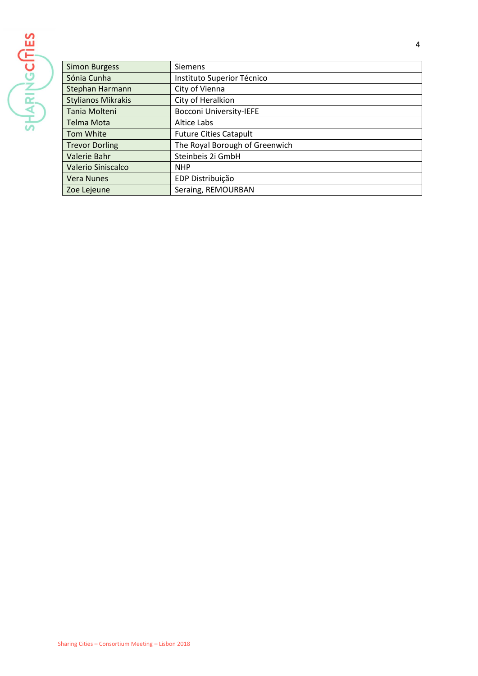

| <b>Simon Burgess</b>      | <b>Siemens</b>                 |
|---------------------------|--------------------------------|
| Sónia Cunha               | Instituto Superior Técnico     |
| Stephan Harmann           | City of Vienna                 |
| <b>Stylianos Mikrakis</b> | City of Heralkion              |
| Tania Molteni             | <b>Bocconi University-IEFE</b> |
| Telma Mota                | Altice Labs                    |
| Tom White                 | <b>Future Cities Catapult</b>  |
| <b>Trevor Dorling</b>     | The Royal Borough of Greenwich |
| Valerie Bahr              | Steinbeis 2i GmbH              |
| Valerio Siniscalco        | <b>NHP</b>                     |
| <b>Vera Nunes</b>         | EDP Distribuição               |
| Zoe Lejeune               | Seraing, REMOURBAN             |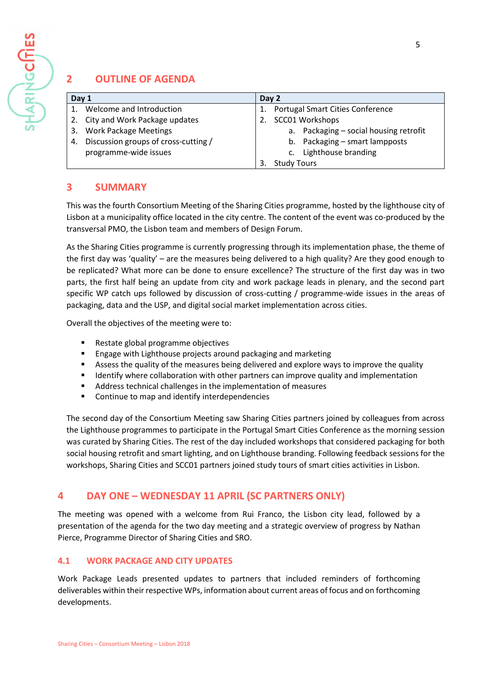

# <span id="page-4-0"></span>**2 OUTLINE OF AGENDA**

| Day 1 |                                      | Day 2 |                                         |
|-------|--------------------------------------|-------|-----------------------------------------|
|       | 1. Welcome and Introduction          |       | <b>Portugal Smart Cities Conference</b> |
|       | 2. City and Work Package updates     |       | 2. SCC01 Workshops                      |
|       | 3. Work Package Meetings             |       | a. Packaging - social housing retrofit  |
| 4.    | Discussion groups of cross-cutting / |       | b. Packaging - smart lampposts          |
|       | programme-wide issues                |       | Lighthouse branding<br>$\mathsf{C}$ .   |
|       |                                      |       | <b>Study Tours</b>                      |

# <span id="page-4-1"></span>**3 SUMMARY**

This was the fourth Consortium Meeting of the Sharing Cities programme, hosted by the lighthouse city of Lisbon at a municipality office located in the city centre. The content of the event was co-produced by the transversal PMO, the Lisbon team and members of Design Forum.

As the Sharing Cities programme is currently progressing through its implementation phase, the theme of the first day was 'quality' – are the measures being delivered to a high quality? Are they good enough to be replicated? What more can be done to ensure excellence? The structure of the first day was in two parts, the first half being an update from city and work package leads in plenary, and the second part specific WP catch ups followed by discussion of cross-cutting / programme-wide issues in the areas of packaging, data and the USP, and digital social market implementation across cities.

Overall the objectives of the meeting were to:

- Restate global programme objectives
- Engage with Lighthouse projects around packaging and marketing
- Assess the quality of the measures being delivered and explore ways to improve the quality
- Identify where collaboration with other partners can improve quality and implementation
- Address technical challenges in the implementation of measures
- Continue to map and identify interdependencies

The second day of the Consortium Meeting saw Sharing Cities partners joined by colleagues from across the Lighthouse programmes to participate in the Portugal Smart Cities Conference as the morning session was curated by Sharing Cities. The rest of the day included workshops that considered packaging for both social housing retrofit and smart lighting, and on Lighthouse branding. Following feedback sessions for the workshops, Sharing Cities and SCC01 partners joined study tours of smart cities activities in Lisbon.

# <span id="page-4-2"></span>**4 DAY ONE – WEDNESDAY 11 APRIL (SC PARTNERS ONLY)**

The meeting was opened with a welcome from Rui Franco, the Lisbon city lead, followed by a presentation of the agenda for the two day meeting and a strategic overview of progress by Nathan Pierce, Programme Director of Sharing Cities and SRO.

## <span id="page-4-3"></span>**4.1 WORK PACKAGE AND CITY UPDATES**

Work Package Leads presented updates to partners that included reminders of forthcoming deliverables within their respective WPs, information about current areas of focus and on forthcoming developments.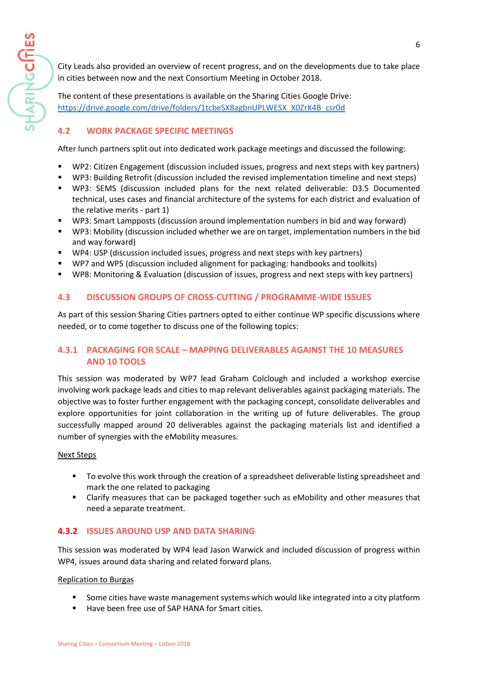City Leads also provided an overview of recent progress, and on the developments due to take place in cities between now and the next Consortium Meeting in October 2018.

The content of these presentations is available on the Sharing Cities Google Drive: [https://drive.google.com/drive/folders/1tcbeSX8agbnUPLWESX\\_X0ZrK4B\\_csr0d](https://drive.google.com/drive/folders/1tcbeSX8agbnUPLWESX_X0ZrK4B_csr0d)

## <span id="page-5-0"></span>**4.2 WORK PACKAGE SPECIFIC MEETINGS**

After lunch partners split out into dedicated work package meetings and discussed the following:

- WP2: Citizen Engagement (discussion included issues, progress and next steps with key partners)
- WP3: Building Retrofit (discussion included the revised implementation timeline and next steps)
- WP3: SEMS (discussion included plans for the next related deliverable: D3.5 Documented technical, uses cases and financial architecture of the systems for each district and evaluation of the relative merits - part 1)
- WP3: Smart Lampposts (discussion around implementation numbers in bid and way forward)
- WP3: Mobility (discussion included whether we are on target, implementation numbers in the bid and way forward)
- WP4: USP (discussion included issues, progress and next steps with key partners)
- WP7 and WP5 (discussion included alignment for packaging: handbooks and toolkits)
- <span id="page-5-1"></span>■ WP8: Monitoring & Evaluation (discussion of issues, progress and next steps with key partners)

## **4.3 DISCUSSION GROUPS OF CROSS-CUTTING / PROGRAMME-WIDE ISSUES**

As part of this session Sharing Cities partners opted to either continue WP specific discussions where needed, or to come together to discuss one of the following topics:

## <span id="page-5-2"></span>**4.3.1 PACKAGING FOR SCALE – MAPPING DELIVERABLES AGAINST THE 10 MEASURES AND 10 TOOLS**

This session was moderated by WP7 lead Graham Colclough and included a workshop exercise involving work package leads and cities to map relevant deliverables against packaging materials. The objective was to foster further engagement with the packaging concept, consolidate deliverables and explore opportunities for joint collaboration in the writing up of future deliverables. The group successfully mapped around 20 deliverables against the packaging materials list and identified a number of synergies with the eMobility measures.

## Next Steps

HARINGCITIES

- To evolve this work through the creation of a spreadsheet deliverable listing spreadsheet and mark the one related to packaging
- Clarify measures that can be packaged together such as eMobility and other measures that need a separate treatment.

## <span id="page-5-3"></span>**4.3.2 ISSUES AROUND USP AND DATA SHARING**

This session was moderated by WP4 lead Jason Warwick and included discussion of progress within WP4, issues around data sharing and related forward plans.

Replication to Burgas

- Some cities have waste management systems which would like integrated into a city platform
- Have been free use of SAP HANA for Smart cities.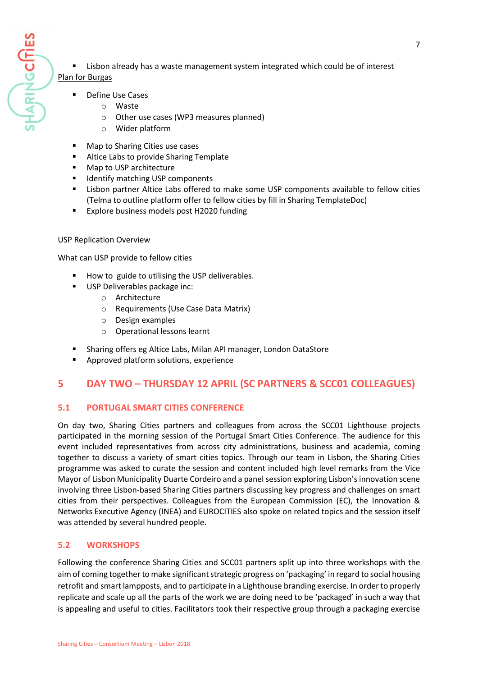HARINGCITIES

- Lisbon already has a waste management system integrated which could be of interest Plan for Burgas
	- Define Use Cases
		- o Waste
		- o Other use cases (WP3 measures planned)
		- o Wider platform
	- Map to Sharing Cities use cases
	- Altice Labs to provide Sharing Template
	- Map to USP architecture
	- Identify matching USP components
	- Lisbon partner Altice Labs offered to make some USP components available to fellow cities (Telma to outline platform offer to fellow cities by fill in Sharing TemplateDoc)
	- Explore business models post H2020 funding

#### USP Replication Overview

What can USP provide to fellow cities

- How to guide to utilising the USP deliverables.
- USP Deliverables package inc:
	- o Architecture
	- o Requirements (Use Case Data Matrix)
	- o Design examples
	- o Operational lessons learnt
- Sharing offers eg Altice Labs, Milan API manager, London DataStore
- Approved platform solutions, experience

# <span id="page-6-0"></span>**5 DAY TWO – THURSDAY 12 APRIL (SC PARTNERS & SCC01 COLLEAGUES)**

## <span id="page-6-1"></span>**5.1 PORTUGAL SMART CITIES CONFERENCE**

On day two, Sharing Cities partners and colleagues from across the SCC01 Lighthouse projects participated in the morning session of the Portugal Smart Cities Conference. The audience for this event included representatives from across city administrations, business and academia, coming together to discuss a variety of smart cities topics. Through our team in Lisbon, the Sharing Cities programme was asked to curate the session and content included high level remarks from the Vice Mayor of Lisbon Municipality Duarte Cordeiro and a panel session exploring Lisbon's innovation scene involving three Lisbon-based Sharing Cities partners discussing key progress and challenges on smart cities from their perspectives. Colleagues from the European Commission (EC), the Innovation & Networks Executive Agency (INEA) and EUROCITIES also spoke on related topics and the session itself was attended by several hundred people.

## <span id="page-6-2"></span>**5.2 WORKSHOPS**

Following the conference Sharing Cities and SCC01 partners split up into three workshops with the aim of coming together to make significant strategic progress on 'packaging' in regard to social housing retrofit and smart lampposts, and to participate in a Lighthouse branding exercise. In order to properly replicate and scale up all the parts of the work we are doing need to be 'packaged' in such a way that is appealing and useful to cities. Facilitators took their respective group through a packaging exercise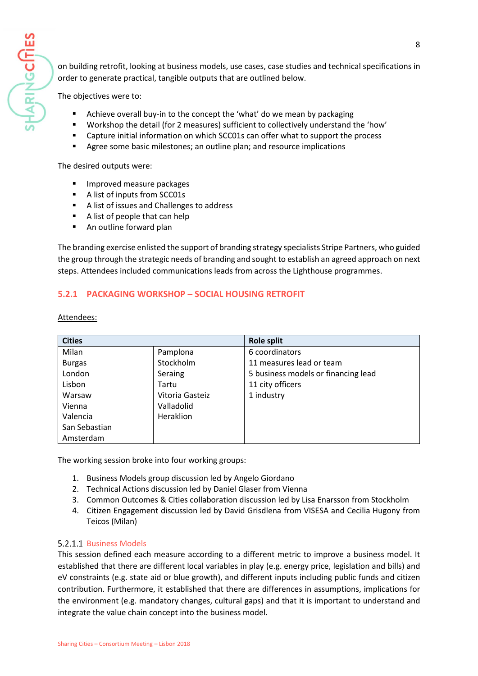on building retrofit, looking at business models, use cases, case studies and technical specifications in order to generate practical, tangible outputs that are outlined below.

The objectives were to:

- Achieve overall buy-in to the concept the 'what' do we mean by packaging
- Workshop the detail (for 2 measures) sufficient to collectively understand the 'how'
- Capture initial information on which SCC01s can offer what to support the process
- Agree some basic milestones; an outline plan; and resource implications

The desired outputs were:

- Improved measure packages
- A list of inputs from SCC01s
- A list of issues and Challenges to address
- A list of people that can help
- An outline forward plan

The branding exercise enlisted the support of branding strategy specialists Stripe Partners, who guided the group through the strategic needs of branding and sought to establish an agreed approach on next steps. Attendees included communications leads from across the Lighthouse programmes.

## <span id="page-7-0"></span>**5.2.1 PACKAGING WORKSHOP – SOCIAL HOUSING RETROFIT**

Attendees:

| <b>Cities</b> |                 | <b>Role split</b>                   |  |
|---------------|-----------------|-------------------------------------|--|
| Milan         | Pamplona        | 6 coordinators                      |  |
| <b>Burgas</b> | Stockholm       | 11 measures lead or team            |  |
| London        | Seraing         | 5 business models or financing lead |  |
| Lisbon        | Tartu           | 11 city officers                    |  |
| Warsaw        | Vitoria Gasteiz | 1 industry                          |  |
| Vienna        | Valladolid      |                                     |  |
| Valencia      | Heraklion       |                                     |  |
| San Sebastian |                 |                                     |  |
| Amsterdam     |                 |                                     |  |

The working session broke into four working groups:

- 1. Business Models group discussion led by Angelo Giordano
- 2. Technical Actions discussion led by Daniel Glaser from Vienna
- 3. Common Outcomes & Cities collaboration discussion led by Lisa Enarsson from Stockholm
- 4. Citizen Engagement discussion led by David Grisdlena from VISESA and Cecilia Hugony from Teicos (Milan)

#### <span id="page-7-1"></span>5.2.1.1 Business Models

This session defined each measure according to a different metric to improve a business model. It established that there are different local variables in play (e.g. energy price, legislation and bills) and eV constraints (e.g. state aid or blue growth), and different inputs including public funds and citizen contribution. Furthermore, it established that there are differences in assumptions, implications for the environment (e.g. mandatory changes, cultural gaps) and that it is important to understand and integrate the value chain concept into the business model.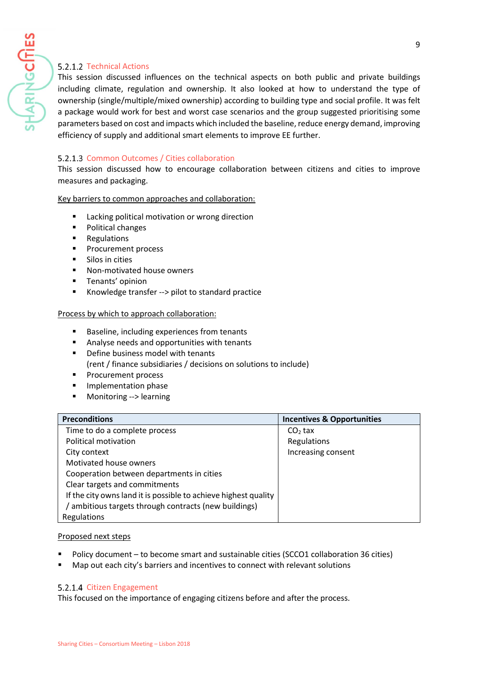## <span id="page-8-0"></span>5.2.1.2 Technical Actions

HARING**CITIES** 

This session discussed influences on the technical aspects on both public and private buildings including climate, regulation and ownership. It also looked at how to understand the type of ownership (single/multiple/mixed ownership) according to building type and social profile. It was felt a package would work for best and worst case scenarios and the group suggested prioritising some parameters based on cost and impacts which included the baseline, reduce energy demand, improving efficiency of supply and additional smart elements to improve EE further.

#### <span id="page-8-1"></span>5.2.1.3 Common Outcomes / Cities collaboration

This session discussed how to encourage collaboration between citizens and cities to improve measures and packaging.

Key barriers to common approaches and collaboration:

- Lacking political motivation or wrong direction
- Political changes
- Regulations
- Procurement process
- Silos in cities
- Non-motivated house owners
- **■** Tenants' opinion
- Knowledge transfer --> pilot to standard practice

#### Process by which to approach collaboration:

- Baseline, including experiences from tenants
- Analyse needs and opportunities with tenants
- Define business model with tenants (rent / finance subsidiaries / decisions on solutions to include)
- Procurement process
- Implementation phase
- Monitoring --> learning

| <b>Preconditions</b>                                            | <b>Incentives &amp; Opportunities</b> |
|-----------------------------------------------------------------|---------------------------------------|
| Time to do a complete process                                   | $CO2$ tax                             |
| Political motivation                                            | Regulations                           |
| City context                                                    | Increasing consent                    |
| Motivated house owners                                          |                                       |
| Cooperation between departments in cities                       |                                       |
| Clear targets and commitments                                   |                                       |
| If the city owns land it is possible to achieve highest quality |                                       |
| / ambitious targets through contracts (new buildings)           |                                       |
| Regulations                                                     |                                       |

#### Proposed next steps

- Policy document to become smart and sustainable cities (SCCO1 collaboration 36 cities)
- <span id="page-8-2"></span>Map out each city's barriers and incentives to connect with relevant solutions

#### 5.2.1.4 Citizen Engagement

This focused on the importance of engaging citizens before and after the process.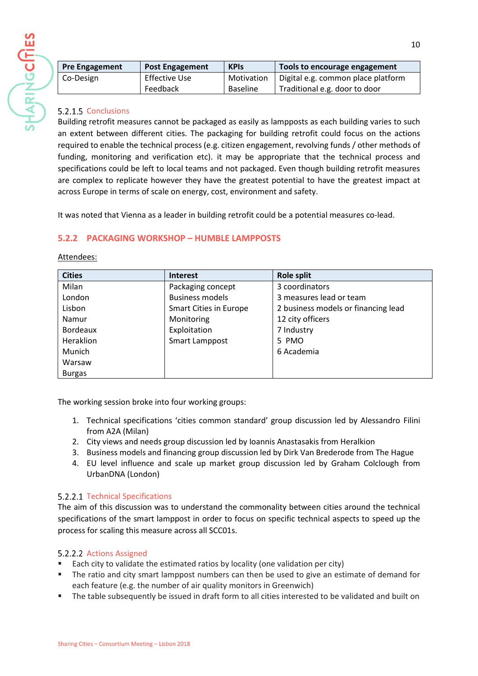

| <b>Pre Engagement</b> | <b>Post Engagement</b> | <b>KPIS</b>     | Tools to encourage engagement      |
|-----------------------|------------------------|-----------------|------------------------------------|
| Co-Design             | Effective Use          | Motivation      | Digital e.g. common place platform |
|                       | Feedback               | <b>Baseline</b> | Traditional e.g. door to door      |

#### <span id="page-9-0"></span>5.2.1.5 Conclusions

Building retrofit measures cannot be packaged as easily as lampposts as each building varies to such an extent between different cities. The packaging for building retrofit could focus on the actions required to enable the technical process (e.g. citizen engagement, revolving funds / other methods of funding, monitoring and verification etc). it may be appropriate that the technical process and specifications could be left to local teams and not packaged. Even though building retrofit measures are complex to replicate however they have the greatest potential to have the greatest impact at across Europe in terms of scale on energy, cost, environment and safety.

It was noted that Vienna as a leader in building retrofit could be a potential measures co-lead.

## <span id="page-9-1"></span>**5.2.2 PACKAGING WORKSHOP – HUMBLE LAMPPOSTS**

Attendees:

| <b>Cities</b>   | <b>Interest</b>               | <b>Role split</b>                   |
|-----------------|-------------------------------|-------------------------------------|
| Milan           | Packaging concept             | 3 coordinators                      |
| London          | <b>Business models</b>        | 3 measures lead or team             |
| Lisbon          | <b>Smart Cities in Europe</b> | 2 business models or financing lead |
| Namur           | Monitoring                    | 12 city officers                    |
| <b>Bordeaux</b> | Exploitation                  | 7 Industry                          |
| Heraklion       | Smart Lamppost                | 5 PMO                               |
| <b>Munich</b>   |                               | 6 Academia                          |
| Warsaw          |                               |                                     |
| <b>Burgas</b>   |                               |                                     |

The working session broke into four working groups:

- 1. Technical specifications 'cities common standard' group discussion led by Alessandro Filini from A2A (Milan)
- 2. City views and needs group discussion led by Ioannis Anastasakis from Heralkion
- 3. Business models and financing group discussion led by Dirk Van Brederode from The Hague
- 4. EU level influence and scale up market group discussion led by Graham Colclough from UrbanDNA (London)

#### <span id="page-9-2"></span>5.2.2.1 Technical Specifications

The aim of this discussion was to understand the commonality between cities around the technical specifications of the smart lamppost in order to focus on specific technical aspects to speed up the process for scaling this measure across all SCC01s.

## <span id="page-9-3"></span>5.2.2.2 Actions Assigned

- Each city to validate the estimated ratios by locality (one validation per city)
- The ratio and city smart lamppost numbers can then be used to give an estimate of demand for each feature (e.g. the number of air quality monitors in Greenwich)
- The table subsequently be issued in draft form to all cities interested to be validated and built on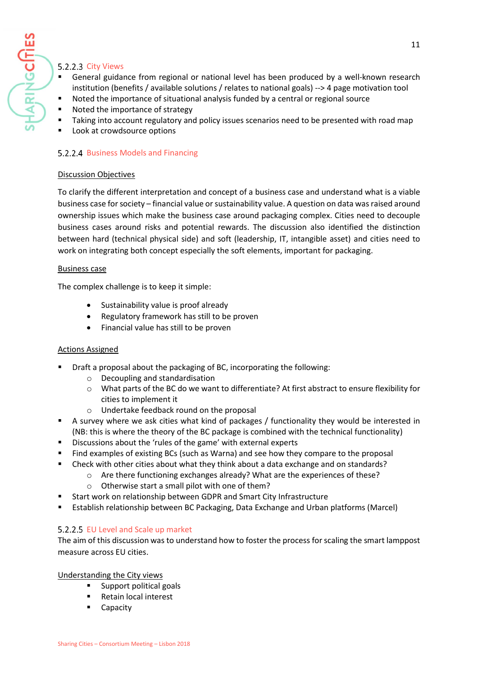## <span id="page-10-0"></span>5.2.2.3 City Views

HARINGCITIES

- General guidance from regional or national level has been produced by a well-known research institution (benefits / available solutions / relates to national goals) --> 4 page motivation tool
- Noted the importance of situational analysis funded by a central or regional source
- Noted the importance of strategy
- Taking into account regulatory and policy issues scenarios need to be presented with road map
- <span id="page-10-1"></span>Look at crowdsource options

## 5.2.2.4 Business Models and Financing

## Discussion Objectives

To clarify the different interpretation and concept of a business case and understand what is a viable business case for society – financial value or sustainability value. A question on data was raised around ownership issues which make the business case around packaging complex. Cities need to decouple business cases around risks and potential rewards. The discussion also identified the distinction between hard (technical physical side) and soft (leadership, IT, intangible asset) and cities need to work on integrating both concept especially the soft elements, important for packaging.

#### Business case

The complex challenge is to keep it simple:

- Sustainability value is proof already
- Regulatory framework has still to be proven
- Financial value has still to be proven

## Actions Assigned

- Draft a proposal about the packaging of BC, incorporating the following:
	- o Decoupling and standardisation
	- o What parts of the BC do we want to differentiate? At first abstract to ensure flexibility for cities to implement it
	- o Undertake feedback round on the proposal
- A survey where we ask cities what kind of packages / functionality they would be interested in (NB: this is where the theory of the BC package is combined with the technical functionality)
- Discussions about the 'rules of the game' with external experts
- Find examples of existing BCs (such as Warna) and see how they compare to the proposal
- Check with other cities about what they think about a data exchange and on standards?
	- o Are there functioning exchanges already? What are the experiences of these?
		- o Otherwise start a small pilot with one of them?
- Start work on relationship between GDPR and Smart City Infrastructure
- <span id="page-10-2"></span>▪ Establish relationship between BC Packaging, Data Exchange and Urban platforms (Marcel)

## 5.2.2.5 EU Level and Scale up market

The aim of this discussion was to understand how to foster the process for scaling the smart lamppost measure across EU cities.

Understanding the City views

- Support political goals
- Retain local interest
- Capacity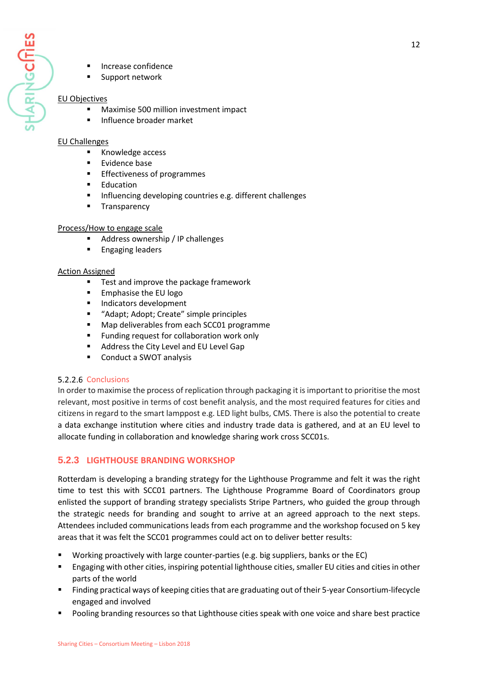Support network

#### EU Objectives

- Maximise 500 million investment impact
- Influence broader market

#### EU Challenges

- Knowledge access
- Evidence base
- Effectiveness of programmes
- **Education**
- Influencing developing countries e.g. different challenges
- **■** Transparency

#### Process/How to engage scale

- Address ownership / IP challenges
- **Engaging leaders**

#### Action Assigned

- Test and improve the package framework
- Emphasise the EU logo
- Indicators development
- "Adapt; Adopt; Create" simple principles
- Map deliverables from each SCC01 programme
- Funding request for collaboration work only
- Address the City Level and EU Level Gap
- Conduct a SWOT analysis

## <span id="page-11-0"></span>5.2.2.6 Conclusions

In order to maximise the process of replication through packaging it isimportant to prioritise the most relevant, most positive in terms of cost benefit analysis, and the most required features for cities and citizens in regard to the smart lamppost e.g. LED light bulbs, CMS. There is also the potential to create a data exchange institution where cities and industry trade data is gathered, and at an EU level to allocate funding in collaboration and knowledge sharing work cross SCC01s.

## <span id="page-11-1"></span>**5.2.3 LIGHTHOUSE BRANDING WORKSHOP**

Rotterdam is developing a branding strategy for the Lighthouse Programme and felt it was the right time to test this with SCC01 partners. The Lighthouse Programme Board of Coordinators group enlisted the support of branding strategy specialists Stripe Partners, who guided the group through the strategic needs for branding and sought to arrive at an agreed approach to the next steps. Attendees included communications leads from each programme and the workshop focused on 5 key areas that it was felt the SCC01 programmes could act on to deliver better results:

- Working proactively with large counter-parties (e.g. big suppliers, banks or the EC)
- Engaging with other cities, inspiring potential lighthouse cities, smaller EU cities and cities in other parts of the world
- Finding practical ways of keeping cities that are graduating out of their 5-year Consortium-lifecycle engaged and involved
- Pooling branding resources so that Lighthouse cities speak with one voice and share best practice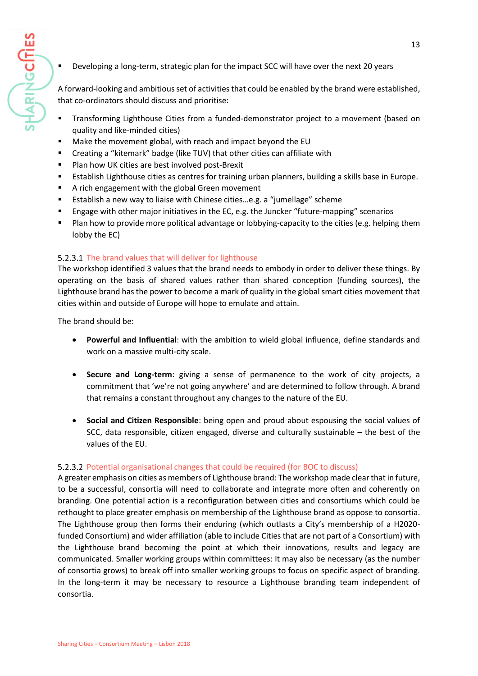Developing a long-term, strategic plan for the impact SCC will have over the next 20 years

A forward-looking and ambitious set of activities that could be enabled by the brand were established, that co-ordinators should discuss and prioritise:

- Transforming Lighthouse Cities from a funded-demonstrator project to a movement (based on quality and like-minded cities)
- Make the movement global, with reach and impact beyond the EU
- Creating a "kitemark" badge (like TUV) that other cities can affiliate with
- Plan how UK cities are best involved post-Brexit
- Establish Lighthouse cities as centres for training urban planners, building a skills base in Europe.
- A rich engagement with the global Green movement
- Establish a new way to liaise with Chinese cities…e.g. a "jumellage" scheme
- Engage with other major initiatives in the EC, e.g. the Juncker "future-mapping" scenarios
- Plan how to provide more political advantage or lobbying-capacity to the cities (e.g. helping them lobby the EC)

## <span id="page-12-0"></span>5.2.3.1 The brand values that will deliver for lighthouse

The workshop identified 3 values that the brand needs to embody in order to deliver these things. By operating on the basis of shared values rather than shared conception (funding sources), the Lighthouse brand has the power to become a mark of quality in the global smart cities movement that cities within and outside of Europe will hope to emulate and attain.

The brand should be:

**HARINGCITIES** 

- **Powerful and Influential**: with the ambition to wield global influence, define standards and work on a massive multi-city scale.
- **Secure and Long-term**: giving a sense of permanence to the work of city projects, a commitment that 'we're not going anywhere' and are determined to follow through. A brand that remains a constant throughout any changes to the nature of the EU.
- **Social and Citizen Responsible**: being open and proud about espousing the social values of SCC, data responsible, citizen engaged, diverse and culturally sustainable **–** the best of the values of the EU.

## <span id="page-12-1"></span>5.2.3.2 Potential organisational changes that could be required (for BOC to discuss)

A greater emphasis on cities as members of Lighthouse brand: The workshop made clear that in future, to be a successful, consortia will need to collaborate and integrate more often and coherently on branding. One potential action is a reconfiguration between cities and consortiums which could be rethought to place greater emphasis on membership of the Lighthouse brand as oppose to consortia. The Lighthouse group then forms their enduring (which outlasts a City's membership of a H2020 funded Consortium) and wider affiliation (able to include Cities that are not part of a Consortium) with the Lighthouse brand becoming the point at which their innovations, results and legacy are communicated. Smaller working groups within committees: It may also be necessary (as the number of consortia grows) to break off into smaller working groups to focus on specific aspect of branding. In the long-term it may be necessary to resource a Lighthouse branding team independent of consortia.